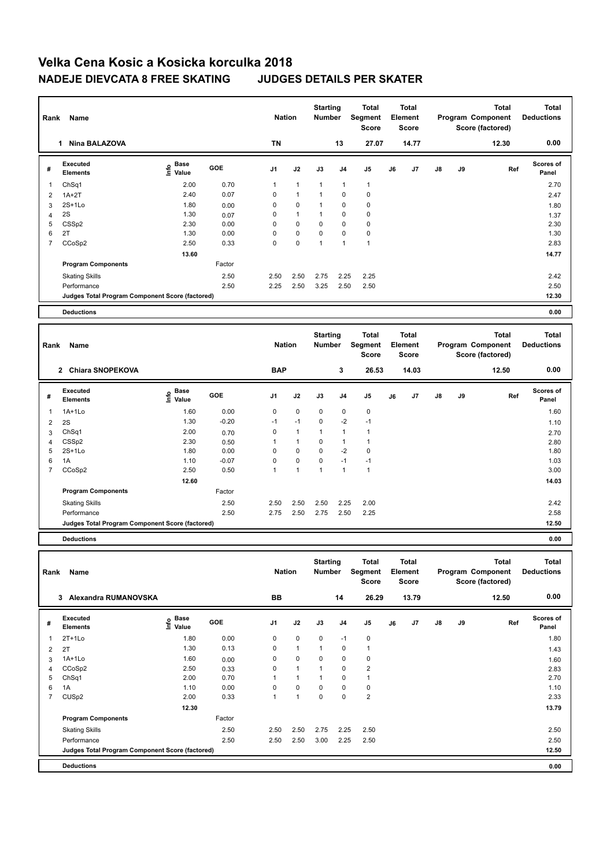| Rank           | <b>Name</b>                                     | <b>Nation</b>                          |        | <b>Starting</b><br><b>Number</b> |              | <b>Total</b><br>Segment<br><b>Score</b> |                      | <b>Total</b><br>Element<br><b>Score</b> |    |                                  | <b>Total</b><br>Program Component<br>Score (factored) | <b>Total</b><br><b>Deductions</b> |                                                       |                                   |
|----------------|-------------------------------------------------|----------------------------------------|--------|----------------------------------|--------------|-----------------------------------------|----------------------|-----------------------------------------|----|----------------------------------|-------------------------------------------------------|-----------------------------------|-------------------------------------------------------|-----------------------------------|
|                | <b>Nina BALAZOVA</b><br>1                       |                                        |        | TN                               |              |                                         | 13                   | 27.07                                   |    | 14.77                            |                                                       |                                   | 12.30                                                 | 0.00                              |
| #              | <b>Executed</b><br><b>Elements</b>              | <b>Base</b><br>$\circ$<br>$\leq$ Value | GOE    | J <sub>1</sub>                   | J2           | J3                                      | J <sub>4</sub>       | J <sub>5</sub>                          | J6 | J7                               | $\mathsf{J}8$                                         | J9                                | Ref                                                   | Scores of<br>Panel                |
|                | ChSq1                                           | 2.00                                   | 0.70   | 1                                | $\mathbf{1}$ | $\overline{1}$                          | $\mathbf{1}$         | $\mathbf{1}$                            |    |                                  |                                                       |                                   |                                                       | 2.70                              |
| 2              | $1A+2T$                                         | 2.40                                   | 0.07   | 0                                | $\mathbf{1}$ | $\mathbf{1}$                            | $\Omega$             | $\pmb{0}$                               |    |                                  |                                                       |                                   |                                                       | 2.47                              |
| 3              | $2S+1Lo$                                        | 1.80                                   | 0.00   | 0                                | 0            | 1                                       | 0                    | 0                                       |    |                                  |                                                       |                                   |                                                       | 1.80                              |
|                | 2S                                              | 1.30                                   | 0.07   | 0                                | $\mathbf{1}$ | 1                                       | 0                    | 0                                       |    |                                  |                                                       |                                   |                                                       | 1.37                              |
| 5              | CSSp2                                           | 2.30                                   | 0.00   | $\mathbf 0$                      | $\mathbf 0$  | $\mathbf 0$                             | $\mathbf 0$          | $\pmb{0}$                               |    |                                  |                                                       |                                   |                                                       | 2.30                              |
| 6              | 2T                                              | 1.30                                   | 0.00   | 0                                | 0            | 0                                       | 0                    | 0                                       |    |                                  |                                                       |                                   |                                                       | 1.30                              |
| $\overline{7}$ | CCoSp2                                          | 2.50                                   | 0.33   | 0                                | 0            | $\overline{1}$                          | $\overline{1}$       | $\mathbf{1}$                            |    |                                  |                                                       |                                   |                                                       | 2.83                              |
|                |                                                 | 13.60                                  |        |                                  |              |                                         |                      |                                         |    |                                  |                                                       |                                   |                                                       | 14.77                             |
|                | <b>Program Components</b>                       |                                        | Factor |                                  |              |                                         |                      |                                         |    |                                  |                                                       |                                   |                                                       |                                   |
|                | <b>Skating Skills</b>                           |                                        | 2.50   | 2.50                             | 2.50         | 2.75                                    | 2.25                 | 2.25                                    |    |                                  |                                                       |                                   |                                                       | 2.42                              |
|                | Performance                                     |                                        | 2.50   | 2.25                             | 2.50         | 3.25                                    | 2.50                 | 2.50                                    |    |                                  |                                                       |                                   |                                                       | 2.50                              |
|                | Judges Total Program Component Score (factored) |                                        |        |                                  |              |                                         |                      |                                         |    |                                  |                                                       |                                   |                                                       | 12.30                             |
|                | <b>Deductions</b>                               |                                        |        |                                  |              |                                         |                      |                                         |    |                                  |                                                       |                                   |                                                       | 0.00                              |
|                |                                                 |                                        |        |                                  |              |                                         |                      |                                         |    |                                  |                                                       |                                   |                                                       |                                   |
| Rank           | Name                                            |                                        |        | <b>Nation</b>                    |              | <b>Starting</b><br><b>Number</b>        |                      | <b>Total</b><br>Segment<br><b>Score</b> |    | <b>Total</b><br>Element<br>Score |                                                       |                                   | <b>Total</b><br>Program Component<br>Score (factored) | <b>Total</b><br><b>Deductions</b> |
|                | <b>C. OLIANA OMODEVOUS</b>                      |                                        |        | <b>DAD</b>                       |              |                                         | $\ddot{\phantom{1}}$ | 00.52                                   |    | $\overline{1100}$                |                                                       |                                   | $\sqrt{2}$                                            | n nn                              |

|                | <b>Chiara SNOPEKOVA</b><br>$\mathbf{2}$         |                       |            | <b>BAP</b>              |                          |                         | 3    | 26.53       |    | 14.03 |               |    | 12.50 | 0.00                      |
|----------------|-------------------------------------------------|-----------------------|------------|-------------------------|--------------------------|-------------------------|------|-------------|----|-------|---------------|----|-------|---------------------------|
| #              | Executed<br><b>Elements</b>                     | Base<br>lnfo<br>Value | <b>GOE</b> | J <sub>1</sub>          | J2                       | J3                      | J4   | J5          | J6 | J7    | $\mathsf{J}8$ | J9 | Ref   | <b>Scores of</b><br>Panel |
|                | $1A+1Lo$                                        | 1.60                  | 0.00       | 0                       | 0                        | $\mathbf 0$             | 0    | $\mathbf 0$ |    |       |               |    |       | 1.60                      |
| $\overline{2}$ | 2S                                              | 1.30                  | $-0.20$    | $-1$                    | $-1$                     | 0                       | $-2$ | $-1$        |    |       |               |    |       | 1.10                      |
| 3              | Ch <sub>Sq1</sub>                               | 2.00                  | 0.70       | 0                       | 1                        |                         |      | 1           |    |       |               |    |       | 2.70                      |
| 4              | CSS <sub>p2</sub>                               | 2.30                  | 0.50       |                         | 1                        | $\mathbf 0$             |      | 1           |    |       |               |    |       | 2.80                      |
| 5              | $2S+1Lo$                                        | 1.80                  | 0.00       | 0                       | 0                        | 0                       | $-2$ | 0           |    |       |               |    |       | 1.80                      |
| 6              | 1A                                              | 1.10                  | $-0.07$    | 0                       | 0                        | 0                       | $-1$ | $-1$        |    |       |               |    |       | 1.03                      |
| 7              | CCoSp2                                          | 2.50                  | 0.50       | $\overline{\mathbf{A}}$ | $\overline{\phantom{a}}$ | $\overline{\mathbf{A}}$ |      | 1           |    |       |               |    |       | 3.00                      |
|                |                                                 | 12.60                 |            |                         |                          |                         |      |             |    |       |               |    |       | 14.03                     |
|                | <b>Program Components</b>                       |                       | Factor     |                         |                          |                         |      |             |    |       |               |    |       |                           |
|                | <b>Skating Skills</b>                           |                       | 2.50       | 2.50                    | 2.50                     | 2.50                    | 2.25 | 2.00        |    |       |               |    |       | 2.42                      |
|                | Performance                                     |                       | 2.50       | 2.75                    | 2.50                     | 2.75                    | 2.50 | 2.25        |    |       |               |    |       | 2.58                      |
|                | Judges Total Program Component Score (factored) |                       |            |                         |                          |                         |      |             |    |       |               |    |       | 12.50                     |

**Deductions 0.00**

| Rank           | Name                                            |                             |            | <b>Nation</b>  |              | <b>Starting</b><br><b>Number</b> |             | Total<br>Segment<br><b>Score</b> |    | <b>Total</b><br>Element<br><b>Score</b> |               |    | <b>Total</b><br>Program Component<br>Score (factored) | <b>Total</b><br><b>Deductions</b> |
|----------------|-------------------------------------------------|-----------------------------|------------|----------------|--------------|----------------------------------|-------------|----------------------------------|----|-----------------------------------------|---------------|----|-------------------------------------------------------|-----------------------------------|
|                | Alexandra RUMANOVSKA<br>3                       |                             |            | BB             |              |                                  | 14          | 26.29                            |    | 13.79                                   |               |    | 12.50                                                 | 0.00                              |
| #              | Executed<br><b>Elements</b>                     | Base<br>$\frac{e}{E}$ Value | <b>GOE</b> | J <sub>1</sub> | J2           | J3                               | J4          | J5                               | J6 | J7                                      | $\mathsf{J}8$ | J9 | Ref                                                   | <b>Scores of</b><br>Panel         |
| 1              | $2T+1Lo$                                        | 1.80                        | 0.00       | 0              | $\mathbf 0$  | $\mathbf 0$                      | $-1$        | $\mathbf 0$                      |    |                                         |               |    |                                                       | 1.80                              |
| $\overline{2}$ | 2T                                              | 1.30                        | 0.13       | 0              | $\mathbf{1}$ | 1                                | $\mathbf 0$ | 1                                |    |                                         |               |    |                                                       | 1.43                              |
| 3              | $1A+1Lo$                                        | 1.60                        | 0.00       | 0              | $\mathbf 0$  | 0                                | $\mathbf 0$ | 0                                |    |                                         |               |    |                                                       | 1.60                              |
| 4              | CCoSp2                                          | 2.50                        | 0.33       | 0              | $\mathbf{1}$ | $\overline{1}$                   | $\mathbf 0$ | $\overline{2}$                   |    |                                         |               |    |                                                       | 2.83                              |
| 5              | ChSq1                                           | 2.00                        | 0.70       | 1              | 1            | 1                                | $\mathbf 0$ |                                  |    |                                         |               |    |                                                       | 2.70                              |
| 6              | 1A                                              | 1.10                        | 0.00       | 0              | 0            | 0                                | 0           | 0                                |    |                                         |               |    |                                                       | 1.10                              |
| $\overline{7}$ | CUS <sub>p2</sub>                               | 2.00                        | 0.33       | 1              | 1            | 0                                | $\mathbf 0$ | $\overline{2}$                   |    |                                         |               |    |                                                       | 2.33                              |
|                |                                                 | 12.30                       |            |                |              |                                  |             |                                  |    |                                         |               |    |                                                       | 13.79                             |
|                | <b>Program Components</b>                       |                             | Factor     |                |              |                                  |             |                                  |    |                                         |               |    |                                                       |                                   |
|                | <b>Skating Skills</b>                           |                             | 2.50       | 2.50           | 2.50         | 2.75                             | 2.25        | 2.50                             |    |                                         |               |    |                                                       | 2.50                              |
|                | Performance                                     |                             | 2.50       | 2.50           | 2.50         | 3.00                             | 2.25        | 2.50                             |    |                                         |               |    |                                                       | 2.50                              |
|                | Judges Total Program Component Score (factored) |                             |            |                |              |                                  |             |                                  |    |                                         |               |    |                                                       | 12.50                             |
|                | <b>Deductions</b>                               |                             |            |                |              |                                  |             |                                  |    |                                         |               |    |                                                       | 0.00                              |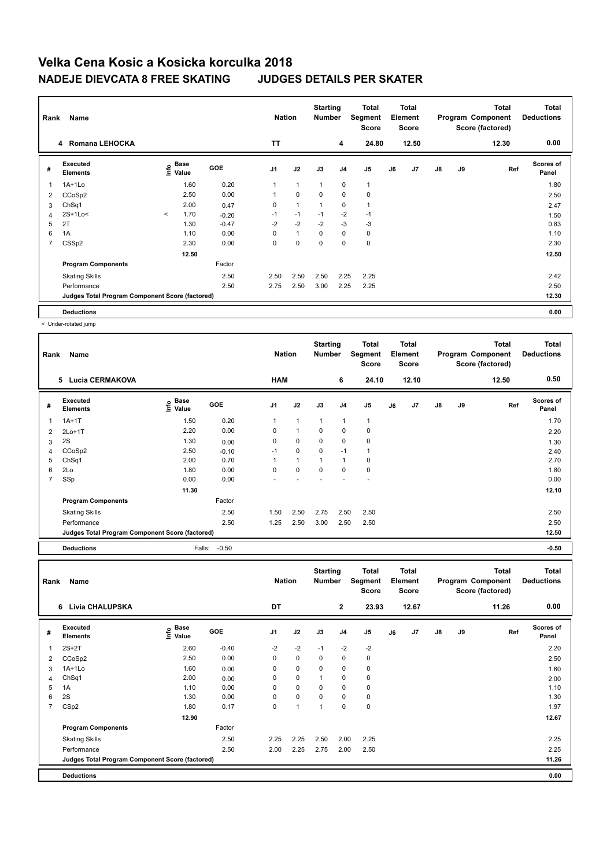| Rank                    | Name<br>Romana LEHOCKA<br>4                     |         |                           |            | <b>Nation</b>  |                | <b>Starting</b><br>Number |                | Total<br>Segment<br><b>Score</b> |    | Total<br>Element<br><b>Score</b> |    |    | Total<br>Program Component<br>Score (factored) | <b>Total</b><br><b>Deductions</b> |
|-------------------------|-------------------------------------------------|---------|---------------------------|------------|----------------|----------------|---------------------------|----------------|----------------------------------|----|----------------------------------|----|----|------------------------------------------------|-----------------------------------|
|                         |                                                 |         |                           |            | <b>TT</b>      |                |                           | 4              | 24.80                            |    | 12.50                            |    |    | 12.30                                          | 0.00                              |
| #                       | Executed<br><b>Elements</b>                     |         | Base<br>e Base<br>⊆ Value | <b>GOE</b> | J <sub>1</sub> | J2             | J3                        | J <sub>4</sub> | J <sub>5</sub>                   | J6 | J7                               | J8 | J9 | Ref                                            | <b>Scores of</b><br>Panel         |
| $\overline{\mathbf{1}}$ | $1A+1L0$                                        |         | 1.60                      | 0.20       | 1              | $\mathbf{1}$   | $\mathbf{1}$              | $\mathbf 0$    | $\mathbf{1}$                     |    |                                  |    |    |                                                | 1.80                              |
| 2                       | CCoSp2                                          |         | 2.50                      | 0.00       | 1              | $\mathbf 0$    | $\mathbf 0$               | $\mathbf 0$    | 0                                |    |                                  |    |    |                                                | 2.50                              |
| 3                       | ChSq1                                           |         | 2.00                      | 0.47       | 0              | $\overline{1}$ |                           | 0              | 1                                |    |                                  |    |    |                                                | 2.47                              |
| 4                       | 2S+1Lo<                                         | $\prec$ | 1.70                      | $-0.20$    | $-1$           | $-1$           | $-1$                      | $-2$           | $-1$                             |    |                                  |    |    |                                                | 1.50                              |
| 5                       | 2T                                              |         | 1.30                      | $-0.47$    | $-2$           | $-2$           | $-2$                      | $-3$           | $-3$                             |    |                                  |    |    |                                                | 0.83                              |
| 6                       | 1A                                              |         | 1.10                      | 0.00       | 0              | $\mathbf{1}$   | $\mathbf 0$               | $\mathbf 0$    | 0                                |    |                                  |    |    |                                                | 1.10                              |
| $\overline{7}$          | CSS <sub>p2</sub>                               |         | 2.30                      | 0.00       | 0              | 0              | 0                         | $\mathbf 0$    | $\mathbf 0$                      |    |                                  |    |    |                                                | 2.30                              |
|                         |                                                 |         | 12.50                     |            |                |                |                           |                |                                  |    |                                  |    |    |                                                | 12.50                             |
|                         | <b>Program Components</b>                       |         |                           | Factor     |                |                |                           |                |                                  |    |                                  |    |    |                                                |                                   |
|                         | <b>Skating Skills</b>                           |         |                           | 2.50       | 2.50           | 2.50           | 2.50                      | 2.25           | 2.25                             |    |                                  |    |    |                                                | 2.42                              |
|                         | Performance                                     |         |                           | 2.50       | 2.75           | 2.50           | 3.00                      | 2.25           | 2.25                             |    |                                  |    |    |                                                | 2.50                              |
|                         | Judges Total Program Component Score (factored) |         |                           |            |                |                |                           |                |                                  |    |                                  |    |    |                                                | 12.30                             |
|                         | <b>Deductions</b>                               |         |                           |            |                |                |                           |                |                                  |    |                                  |    |    |                                                | 0.00                              |

< Under-rotated jump

| Rank           | Name                                            |                                                          |         | <b>Nation</b>  |              | <b>Starting</b><br><b>Number</b> |                | <b>Total</b><br>Segment<br>Score |    | <b>Total</b><br>Element<br><b>Score</b> |               |    | <b>Total</b><br>Program Component<br>Score (factored) | <b>Total</b><br><b>Deductions</b> |
|----------------|-------------------------------------------------|----------------------------------------------------------|---------|----------------|--------------|----------------------------------|----------------|----------------------------------|----|-----------------------------------------|---------------|----|-------------------------------------------------------|-----------------------------------|
|                | <b>Lucia CERMAKOVA</b><br>5                     |                                                          |         | <b>HAM</b>     |              |                                  | 6              | 24.10                            |    | 12.10                                   |               |    | 12.50                                                 | 0.50                              |
| #              | Executed<br><b>Elements</b>                     | <b>Base</b><br>$\mathop{\mathsf{Irr}}\nolimits$<br>Value | GOE     | J <sub>1</sub> | J2           | J3                               | J <sub>4</sub> | J <sub>5</sub>                   | J6 | J7                                      | $\mathsf{J}8$ | J9 | Ref                                                   | <b>Scores of</b><br>Panel         |
| 1              | $1A+1T$                                         | 1.50                                                     | 0.20    | 1              | $\mathbf{1}$ | $\mathbf{1}$                     | $\mathbf{1}$   | 1                                |    |                                         |               |    |                                                       | 1.70                              |
| 2              | $2Lo+1T$                                        | 2.20                                                     | 0.00    | $\Omega$       | 1            | $\Omega$                         | $\mathbf 0$    | 0                                |    |                                         |               |    |                                                       | 2.20                              |
| 3              | 2S                                              | 1.30                                                     | 0.00    | 0              | $\Omega$     | $\Omega$                         | $\mathbf 0$    | 0                                |    |                                         |               |    |                                                       | 1.30                              |
| 4              | CCoSp2                                          | 2.50                                                     | $-0.10$ | $-1$           | $\mathbf 0$  | $\Omega$                         | $-1$           | 1                                |    |                                         |               |    |                                                       | 2.40                              |
| 5              | ChSq1                                           | 2.00                                                     | 0.70    |                | 1            | 1                                | $\mathbf{1}$   | 0                                |    |                                         |               |    |                                                       | 2.70                              |
| 6              | 2Lo                                             | 1.80                                                     | 0.00    | $\Omega$       | $\Omega$     | $\Omega$                         | 0              | 0                                |    |                                         |               |    |                                                       | 1.80                              |
| $\overline{7}$ | SSp                                             | 0.00                                                     | 0.00    |                |              |                                  |                |                                  |    |                                         |               |    |                                                       | 0.00                              |
|                |                                                 | 11.30                                                    |         |                |              |                                  |                |                                  |    |                                         |               |    |                                                       | 12.10                             |
|                | <b>Program Components</b>                       |                                                          | Factor  |                |              |                                  |                |                                  |    |                                         |               |    |                                                       |                                   |
|                | <b>Skating Skills</b>                           |                                                          | 2.50    | 1.50           | 2.50         | 2.75                             | 2.50           | 2.50                             |    |                                         |               |    |                                                       | 2.50                              |
|                | Performance                                     |                                                          | 2.50    | 1.25           | 2.50         | 3.00                             | 2.50           | 2.50                             |    |                                         |               |    |                                                       | 2.50                              |
|                | Judges Total Program Component Score (factored) |                                                          |         |                |              |                                  |                |                                  |    |                                         |               |    |                                                       | 12.50                             |
|                | <b>Deductions</b>                               | Falls:                                                   | $-0.50$ |                |              |                                  |                |                                  |    |                                         |               |    |                                                       | $-0.50$                           |

| Rank           | Name                                            |                       |            | <b>Nation</b>  |                | <b>Starting</b><br><b>Number</b> |              | <b>Total</b><br>Segment<br><b>Score</b> |    | Total<br>Element<br><b>Score</b> |               |    | <b>Total</b><br>Program Component<br>Score (factored) | <b>Total</b><br><b>Deductions</b> |
|----------------|-------------------------------------------------|-----------------------|------------|----------------|----------------|----------------------------------|--------------|-----------------------------------------|----|----------------------------------|---------------|----|-------------------------------------------------------|-----------------------------------|
|                | Livia CHALUPSKA<br>6                            |                       |            | DT             |                |                                  | $\mathbf{2}$ | 23.93                                   |    | 12.67                            |               |    | 11.26                                                 | 0.00                              |
| #              | Executed<br><b>Elements</b>                     | Base<br>١nf٥<br>Value | <b>GOE</b> | J <sub>1</sub> | J2             | J3                               | J4           | J <sub>5</sub>                          | J6 | J7                               | $\mathsf{J}8$ | J9 | Ref                                                   | Scores of<br>Panel                |
|                | $2S+2T$                                         | 2.60                  | $-0.40$    | $-2$           | $-2$           | $-1$                             | $-2$         | $-2$                                    |    |                                  |               |    |                                                       | 2.20                              |
| 2              | CCoSp2                                          | 2.50                  | 0.00       | 0              | 0              | 0                                | 0            | 0                                       |    |                                  |               |    |                                                       | 2.50                              |
| 3              | $1A+1Lo$                                        | 1.60                  | 0.00       | 0              | $\mathbf 0$    | 0                                | 0            | 0                                       |    |                                  |               |    |                                                       | 1.60                              |
| 4              | Ch <sub>Sq1</sub>                               | 2.00                  | 0.00       | 0              | $\pmb{0}$      | 1                                | 0            | 0                                       |    |                                  |               |    |                                                       | 2.00                              |
| 5              | 1A                                              | 1.10                  | 0.00       | 0              | $\mathbf 0$    | 0                                | 0            | $\mathbf 0$                             |    |                                  |               |    |                                                       | 1.10                              |
| 6              | 2S                                              | 1.30                  | 0.00       | 0              | $\mathbf 0$    | 0                                | 0            | 0                                       |    |                                  |               |    |                                                       | 1.30                              |
| $\overline{7}$ | CSp2                                            | 1.80                  | 0.17       | 0              | $\overline{1}$ | $\overline{1}$                   | $\Omega$     | $\mathbf 0$                             |    |                                  |               |    |                                                       | 1.97                              |
|                |                                                 | 12.90                 |            |                |                |                                  |              |                                         |    |                                  |               |    |                                                       | 12.67                             |
|                | <b>Program Components</b>                       |                       | Factor     |                |                |                                  |              |                                         |    |                                  |               |    |                                                       |                                   |
|                | <b>Skating Skills</b>                           |                       | 2.50       | 2.25           | 2.25           | 2.50                             | 2.00         | 2.25                                    |    |                                  |               |    |                                                       | 2.25                              |
|                | Performance                                     |                       | 2.50       | 2.00           | 2.25           | 2.75                             | 2.00         | 2.50                                    |    |                                  |               |    |                                                       | 2.25                              |
|                | Judges Total Program Component Score (factored) |                       |            |                |                |                                  |              |                                         |    |                                  |               |    |                                                       | 11.26                             |
|                | <b>Deductions</b>                               |                       |            |                |                |                                  |              |                                         |    |                                  |               |    |                                                       | 0.00                              |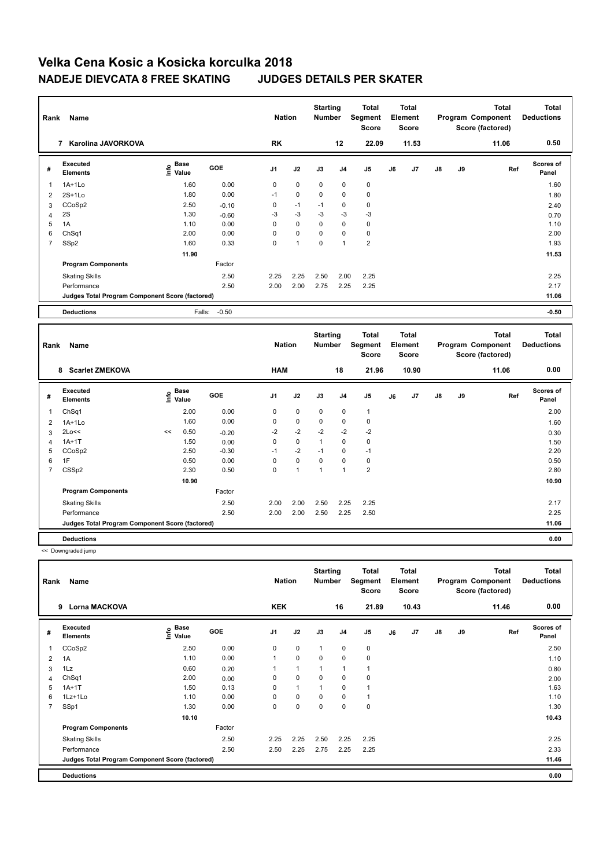| Rank        | Name<br>Karolina JAVORKOVA<br>7                 |                                  |            | <b>Nation</b> |             | <b>Starting</b><br><b>Number</b> |                | <b>Total</b><br>Segment<br><b>Score</b> |    | <b>Total</b><br>Element<br><b>Score</b> |               |    | <b>Total</b><br>Program Component<br>Score (factored) | <b>Total</b><br><b>Deductions</b> |
|-------------|-------------------------------------------------|----------------------------------|------------|---------------|-------------|----------------------------------|----------------|-----------------------------------------|----|-----------------------------------------|---------------|----|-------------------------------------------------------|-----------------------------------|
|             |                                                 |                                  |            | RK            |             |                                  | 12             | 22.09                                   |    | 11.53                                   |               |    | 11.06                                                 | 0.50                              |
| #           | <b>Executed</b><br><b>Elements</b>              | <b>Base</b><br>e Base<br>⊆ Value | <b>GOE</b> | J1            | J2          | J3                               | J <sub>4</sub> | J <sub>5</sub>                          | J6 | J7                                      | $\mathsf{J}8$ | J9 | Ref                                                   | Scores of<br>Panel                |
| 1           | $1A+1Lo$                                        | 1.60                             | 0.00       | $\mathbf 0$   | $\mathbf 0$ | $\mathbf 0$                      | $\mathbf 0$    | $\mathbf 0$                             |    |                                         |               |    |                                                       | 1.60                              |
| 2           | $2S+1Lo$                                        | 1.80                             | 0.00       | $-1$          | $\pmb{0}$   | 0                                | 0              | 0                                       |    |                                         |               |    |                                                       | 1.80                              |
| 3           | CCoSp2                                          | 2.50                             | $-0.10$    | 0             | $-1$        | $-1$                             | 0              | $\mathbf 0$                             |    |                                         |               |    |                                                       | 2.40                              |
| 4           | 2S                                              | 1.30                             | $-0.60$    | $-3$          | $-3$        | $-3$                             | $-3$           | $-3$                                    |    |                                         |               |    |                                                       | 0.70                              |
| 5           | 1A                                              | 1.10                             | 0.00       | 0             | 0           | 0                                | 0              | 0                                       |    |                                         |               |    |                                                       | 1.10                              |
| 6           | Ch <sub>Sq1</sub>                               | 2.00                             | 0.00       | $\Omega$      | 0           | $\Omega$                         | 0              | 0                                       |    |                                         |               |    |                                                       | 2.00                              |
| 7           | SSp2                                            | 1.60                             | 0.33       | 0             | 1           | 0                                | 1              | $\overline{2}$                          |    |                                         |               |    |                                                       | 1.93                              |
|             |                                                 | 11.90                            |            |               |             |                                  |                |                                         |    |                                         |               |    |                                                       | 11.53                             |
|             | <b>Program Components</b>                       |                                  | Factor     |               |             |                                  |                |                                         |    |                                         |               |    |                                                       |                                   |
|             | <b>Skating Skills</b>                           |                                  | 2.50       | 2.25          | 2.25        | 2.50                             | 2.00           | 2.25                                    |    |                                         |               |    |                                                       | 2.25                              |
|             | Performance                                     |                                  | 2.50       | 2.00          | 2.00        | 2.75                             | 2.25           | 2.25                                    |    |                                         |               |    |                                                       | 2.17                              |
|             | Judges Total Program Component Score (factored) |                                  |            |               |             |                                  |                |                                         |    |                                         |               |    |                                                       | 11.06                             |
|             | <b>Deductions</b>                               | Falls:                           | $-0.50$    |               |             |                                  |                |                                         |    |                                         |               |    |                                                       | $-0.50$                           |
| <b>Dank</b> | Namo                                            |                                  |            | <b>Nation</b> |             | <b>Starting</b><br>Numhor        |                | <b>Total</b><br>Seament                 |    | <b>Total</b><br>Flament                 |               |    | <b>Total</b><br>Program Component                     | <b>Total</b><br><b>Deductions</b> |

| Rank           | Name                                            |      |                      |         | <b>Nation</b>  |             | <b>Number</b> |                | Segment<br>Score |    | Element<br><b>Score</b> |               |    | Program Component<br>Score (factored) | <b>Deductions</b>         |
|----------------|-------------------------------------------------|------|----------------------|---------|----------------|-------------|---------------|----------------|------------------|----|-------------------------|---------------|----|---------------------------------------|---------------------------|
|                | <b>Scarlet ZMEKOVA</b><br>8                     |      |                      |         | <b>HAM</b>     |             |               | 18             | 21.96            |    | 10.90                   |               |    | 11.06                                 | 0.00                      |
| #              | Executed<br><b>Elements</b>                     | ١nf٥ | <b>Base</b><br>Value | GOE     | J <sub>1</sub> | J2          | J3            | J <sub>4</sub> | J5               | J6 | J7                      | $\mathsf{J}8$ | J9 | Ref                                   | <b>Scores of</b><br>Panel |
|                | Ch <sub>Sq1</sub>                               |      | 2.00                 | 0.00    | 0              | $\mathbf 0$ | 0             | 0              | 1                |    |                         |               |    |                                       | 2.00                      |
| 2              | $1A+1Lo$                                        |      | 1.60                 | 0.00    | 0              | 0           | 0             | 0              | 0                |    |                         |               |    |                                       | 1.60                      |
| 3              | 2Lo<<                                           | <<   | 0.50                 | $-0.20$ | $-2$           | $-2$        | $-2$          | $-2$           | $-2$             |    |                         |               |    |                                       | 0.30                      |
| 4              | $1A+1T$                                         |      | 1.50                 | 0.00    | 0              | 0           |               | 0              | 0                |    |                         |               |    |                                       | 1.50                      |
| 5              | CCoSp2                                          |      | 2.50                 | $-0.30$ | $-1$           | $-2$        | $-1$          | 0              | $-1$             |    |                         |               |    |                                       | 2.20                      |
| 6              | 1F                                              |      | 0.50                 | 0.00    | 0              | 0           | 0             | 0              | $\mathbf 0$      |    |                         |               |    |                                       | 0.50                      |
| $\overline{7}$ | CSS <sub>p2</sub>                               |      | 2.30                 | 0.50    | 0              | 1           | 1             | 1              | $\overline{2}$   |    |                         |               |    |                                       | 2.80                      |
|                |                                                 |      | 10.90                |         |                |             |               |                |                  |    |                         |               |    |                                       | 10.90                     |
|                | <b>Program Components</b>                       |      |                      | Factor  |                |             |               |                |                  |    |                         |               |    |                                       |                           |
|                | <b>Skating Skills</b>                           |      |                      | 2.50    | 2.00           | 2.00        | 2.50          | 2.25           | 2.25             |    |                         |               |    |                                       | 2.17                      |
|                | Performance                                     |      |                      | 2.50    | 2.00           | 2.00        | 2.50          | 2.25           | 2.50             |    |                         |               |    |                                       | 2.25                      |
|                | Judges Total Program Component Score (factored) |      |                      |         |                |             |               |                |                  |    |                         |               |    |                                       | 11.06                     |
|                | <b>Deductions</b>                               |      |                      |         |                |             |               |                |                  |    |                         |               |    |                                       | 0.00                      |

<< Downgraded jump

| Rank           | Name                                            | <b>Nation</b>                    |        | <b>Starting</b><br><b>Number</b> |              | <b>Total</b><br>Segment<br><b>Score</b> |                | <b>Total</b><br>Element<br><b>Score</b> |    |       | <b>Total</b><br>Program Component<br>Score (factored) | <b>Total</b><br><b>Deductions</b> |       |                           |
|----------------|-------------------------------------------------|----------------------------------|--------|----------------------------------|--------------|-----------------------------------------|----------------|-----------------------------------------|----|-------|-------------------------------------------------------|-----------------------------------|-------|---------------------------|
|                | <b>Lorna MACKOVA</b><br>9                       |                                  |        | <b>KEK</b>                       |              |                                         | 16             | 21.89                                   |    | 10.43 |                                                       |                                   | 11.46 | 0.00                      |
| #              | Executed<br><b>Elements</b>                     | <b>Base</b><br>e Base<br>⊆ Value | GOE    | J <sub>1</sub>                   | J2           | J3                                      | J <sub>4</sub> | J <sub>5</sub>                          | J6 | J7    | $\mathsf{J}8$                                         | J9                                | Ref   | <b>Scores of</b><br>Panel |
|                | CCoSp2                                          | 2.50                             | 0.00   | 0                                | 0            | $\mathbf{1}$                            | $\mathbf 0$    | $\mathbf 0$                             |    |       |                                                       |                                   |       | 2.50                      |
| $\overline{2}$ | 1A                                              | 1.10                             | 0.00   | 1                                | 0            | $\mathbf 0$                             | $\mathbf 0$    | $\mathbf 0$                             |    |       |                                                       |                                   |       | 1.10                      |
| 3              | 1Lz                                             | 0.60                             | 0.20   | 1                                | $\mathbf{1}$ | 1                                       | 1              | 1                                       |    |       |                                                       |                                   |       | 0.80                      |
| 4              | Ch <sub>Sq1</sub>                               | 2.00                             | 0.00   | 0                                | $\mathbf 0$  | 0                                       | 0              | $\mathbf 0$                             |    |       |                                                       |                                   |       | 2.00                      |
| 5              | $1A+1T$                                         | 1.50                             | 0.13   | 0                                | $\mathbf{1}$ | 1                                       | 0              | 1                                       |    |       |                                                       |                                   |       | 1.63                      |
| 6              | $1Lz+1Lo$                                       | 1.10                             | 0.00   | $\Omega$                         | $\mathbf 0$  | 0                                       | 0              | 1                                       |    |       |                                                       |                                   |       | 1.10                      |
| 7              | SSp1                                            | 1.30                             | 0.00   | 0                                | 0            | 0                                       | 0              | $\mathbf 0$                             |    |       |                                                       |                                   |       | 1.30                      |
|                |                                                 | 10.10                            |        |                                  |              |                                         |                |                                         |    |       |                                                       |                                   |       | 10.43                     |
|                | <b>Program Components</b>                       |                                  | Factor |                                  |              |                                         |                |                                         |    |       |                                                       |                                   |       |                           |
|                | <b>Skating Skills</b>                           |                                  | 2.50   | 2.25                             | 2.25         | 2.50                                    | 2.25           | 2.25                                    |    |       |                                                       |                                   |       | 2.25                      |
|                | Performance                                     |                                  | 2.50   | 2.50                             | 2.25         | 2.75                                    | 2.25           | 2.25                                    |    |       |                                                       |                                   |       | 2.33                      |
|                | Judges Total Program Component Score (factored) |                                  |        |                                  |              |                                         |                |                                         |    |       |                                                       |                                   |       | 11.46                     |
|                | <b>Deductions</b>                               |                                  |        |                                  |              |                                         |                |                                         |    |       |                                                       |                                   |       | 0.00                      |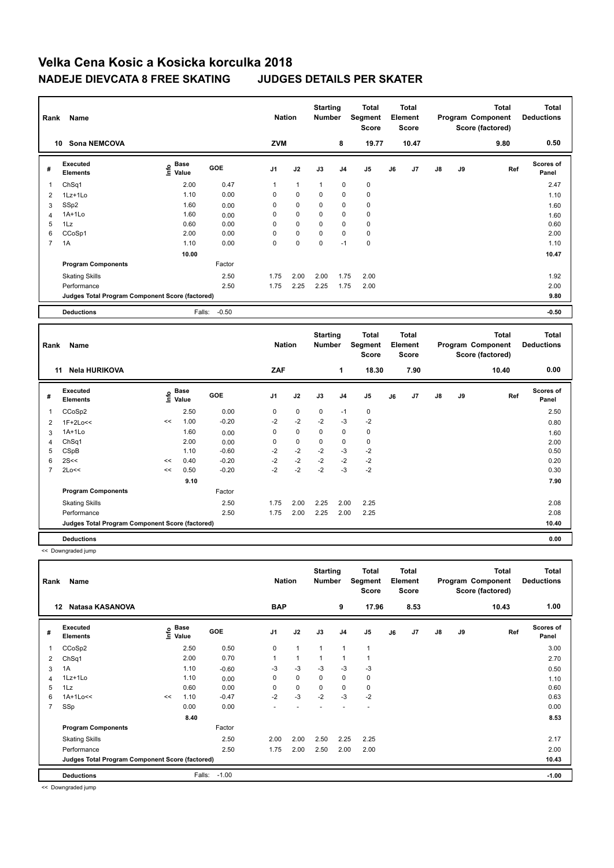| Rank           | Name<br><b>Sona NEMCOVA</b><br>10               |                           |         | <b>Nation</b>  |              | <b>Starting</b><br><b>Number</b> |                | Total<br>Segment<br>Score |    | <b>Total</b><br>Element<br><b>Score</b> |               |    | <b>Total</b><br>Program Component<br>Score (factored) | <b>Total</b><br><b>Deductions</b> |
|----------------|-------------------------------------------------|---------------------------|---------|----------------|--------------|----------------------------------|----------------|---------------------------|----|-----------------------------------------|---------------|----|-------------------------------------------------------|-----------------------------------|
|                |                                                 |                           |         | <b>ZVM</b>     |              |                                  | 8              | 19.77                     |    | 10.47                                   |               |    | 9.80                                                  | 0.50                              |
| #              | Executed<br><b>Elements</b>                     | Base<br>e Base<br>⊆ Value | GOE     | J <sub>1</sub> | J2           | J3                               | J <sub>4</sub> | J <sub>5</sub>            | J6 | J <sub>7</sub>                          | $\mathsf{J}8$ | J9 | Ref                                                   | <b>Scores of</b><br>Panel         |
| 1              | ChSq1                                           | 2.00                      | 0.47    | 1              | $\mathbf{1}$ | $\mathbf{1}$                     | $\mathbf 0$    | $\mathbf 0$               |    |                                         |               |    |                                                       | 2.47                              |
| 2              | 1Lz+1Lo                                         | 1.10                      | 0.00    | 0              | $\mathbf 0$  | $\mathbf 0$                      | 0              | $\pmb{0}$                 |    |                                         |               |    |                                                       | 1.10                              |
| 3              | SSp2                                            | 1.60                      | 0.00    | 0              | $\mathbf 0$  | 0                                | 0              | $\pmb{0}$                 |    |                                         |               |    |                                                       | 1.60                              |
| $\overline{4}$ | $1A+1Lo$                                        | 1.60                      | 0.00    | 0              | $\mathbf 0$  | $\Omega$                         | 0              | $\mathbf 0$               |    |                                         |               |    |                                                       | 1.60                              |
| 5              | 1Lz                                             | 0.60                      | 0.00    | 0              | $\mathbf 0$  | $\Omega$                         | $\mathbf 0$    | $\pmb{0}$                 |    |                                         |               |    |                                                       | 0.60                              |
| 6              | CCoSp1                                          | 2.00                      | 0.00    | 0              | $\mathbf 0$  | $\mathbf 0$                      | 0              | 0                         |    |                                         |               |    |                                                       | 2.00                              |
| 7              | 1A                                              | 1.10                      | 0.00    | $\mathbf 0$    | 0            | $\mathbf 0$                      | $-1$           | $\pmb{0}$                 |    |                                         |               |    |                                                       | 1.10                              |
|                |                                                 | 10.00                     |         |                |              |                                  |                |                           |    |                                         |               |    |                                                       | 10.47                             |
|                | <b>Program Components</b>                       |                           | Factor  |                |              |                                  |                |                           |    |                                         |               |    |                                                       |                                   |
|                | <b>Skating Skills</b>                           |                           | 2.50    | 1.75           | 2.00         | 2.00                             | 1.75           | 2.00                      |    |                                         |               |    |                                                       | 1.92                              |
|                | Performance                                     |                           | 2.50    | 1.75           | 2.25         | 2.25                             | 1.75           | 2.00                      |    |                                         |               |    |                                                       | 2.00                              |
|                | Judges Total Program Component Score (factored) |                           |         |                |              |                                  |                |                           |    |                                         |               |    |                                                       | 9.80                              |
|                | <b>Deductions</b>                               | Falls:                    | $-0.50$ |                |              |                                  |                |                           |    |                                         |               |    |                                                       | $-0.50$                           |

| Rank           | Name                                            |      |               |         | <b>Nation</b>  |             | <b>Starting</b><br><b>Number</b> |                | Total<br>Segment<br>Score |    | <b>Total</b><br>Element<br>Score |               |    | <b>Total</b><br>Program Component<br>Score (factored) | <b>Total</b><br><b>Deductions</b> |
|----------------|-------------------------------------------------|------|---------------|---------|----------------|-------------|----------------------------------|----------------|---------------------------|----|----------------------------------|---------------|----|-------------------------------------------------------|-----------------------------------|
|                | <b>Nela HURIKOVA</b><br>11                      |      |               |         | ZAF            |             |                                  | 1              | 18.30                     |    | 7.90                             |               |    | 10.40                                                 | 0.00                              |
| #              | Executed<br><b>Elements</b>                     | ١nf٥ | Base<br>Value | GOE     | J <sub>1</sub> | J2          | J3                               | J <sub>4</sub> | J5                        | J6 | J7                               | $\mathsf{J}8$ | J9 | Ref                                                   | <b>Scores of</b><br>Panel         |
| $\overline{1}$ | CCoSp2                                          |      | 2.50          | 0.00    | 0              | $\mathbf 0$ | 0                                | $-1$           | 0                         |    |                                  |               |    |                                                       | 2.50                              |
| 2              | 1F+2Lo<<                                        | <<   | 1.00          | $-0.20$ | $-2$           | $-2$        | $-2$                             | $-3$           | $-2$                      |    |                                  |               |    |                                                       | 0.80                              |
| 3              | 1A+1Lo                                          |      | 1.60          | 0.00    | 0              | $\mathbf 0$ | 0                                | 0              | 0                         |    |                                  |               |    |                                                       | 1.60                              |
| $\overline{4}$ | Ch <sub>Sq1</sub>                               |      | 2.00          | 0.00    | 0              | $\mathbf 0$ | 0                                | 0              | 0                         |    |                                  |               |    |                                                       | 2.00                              |
| 5              | CSpB                                            |      | 1.10          | $-0.60$ | $-2$           | $-2$        | $-2$                             | $-3$           | $-2$                      |    |                                  |               |    |                                                       | 0.50                              |
| 6              | 2S<<                                            | <<   | 0.40          | $-0.20$ | $-2$           | $-2$        | $-2$                             | $-2$           | $-2$                      |    |                                  |               |    |                                                       | 0.20                              |
| 7              | 2Lo<<                                           | <<   | 0.50          | $-0.20$ | $-2$           | $-2$        | $-2$                             | $-3$           | $-2$                      |    |                                  |               |    |                                                       | 0.30                              |
|                |                                                 |      | 9.10          |         |                |             |                                  |                |                           |    |                                  |               |    |                                                       | 7.90                              |
|                | <b>Program Components</b>                       |      |               | Factor  |                |             |                                  |                |                           |    |                                  |               |    |                                                       |                                   |
|                | <b>Skating Skills</b>                           |      |               | 2.50    | 1.75           | 2.00        | 2.25                             | 2.00           | 2.25                      |    |                                  |               |    |                                                       | 2.08                              |
|                | Performance                                     |      |               | 2.50    | 1.75           | 2.00        | 2.25                             | 2.00           | 2.25                      |    |                                  |               |    |                                                       | 2.08                              |
|                | Judges Total Program Component Score (factored) |      |               |         |                |             |                                  |                |                           |    |                                  |               |    |                                                       | 10.40                             |
|                | <b>Deductions</b>                               |      |               |         |                |             |                                  |                |                           |    |                                  |               |    |                                                       | 0.00                              |

 <sup>&</sup>lt;< Downgraded jump

| Rank           | Name<br>Natasa KASANOVA<br>12                   |    |                                  | <b>Nation</b> |                | <b>Starting</b><br><b>Number</b> |              | <b>Total</b><br>Segment<br><b>Score</b> |                | <b>Total</b><br>Element<br><b>Score</b> |                |               | <b>Total</b><br>Program Component<br>Score (factored) | <b>Total</b><br><b>Deductions</b> |                           |
|----------------|-------------------------------------------------|----|----------------------------------|---------------|----------------|----------------------------------|--------------|-----------------------------------------|----------------|-----------------------------------------|----------------|---------------|-------------------------------------------------------|-----------------------------------|---------------------------|
|                |                                                 |    |                                  |               | <b>BAP</b>     |                                  |              | 9                                       | 17.96          |                                         | 8.53           |               |                                                       | 10.43                             | 1.00                      |
| #              | <b>Executed</b><br><b>Elements</b>              |    | <b>Base</b><br>e Base<br>E Value | <b>GOE</b>    | J <sub>1</sub> | J2                               | J3           | J <sub>4</sub>                          | J <sub>5</sub> | J6                                      | J <sub>7</sub> | $\mathsf{J}8$ | J9                                                    | Ref                               | <b>Scores of</b><br>Panel |
| 1              | CCoSp2                                          |    | 2.50                             | 0.50          | 0              | $\mathbf{1}$                     | $\mathbf{1}$ | 1                                       | 1              |                                         |                |               |                                                       |                                   | 3.00                      |
| 2              | ChSq1                                           |    | 2.00                             | 0.70          | 1              | $\mathbf{1}$                     | 1            | 1                                       | 1              |                                         |                |               |                                                       |                                   | 2.70                      |
| 3              | 1A                                              |    | 1.10                             | $-0.60$       | $-3$           | $-3$                             | $-3$         | $-3$                                    | $-3$           |                                         |                |               |                                                       |                                   | 0.50                      |
| 4              | 1Lz+1Lo                                         |    | 1.10                             | 0.00          | 0              | $\mathbf 0$                      | 0            | 0                                       | $\mathbf 0$    |                                         |                |               |                                                       |                                   | 1.10                      |
| 5              | 1Lz                                             |    | 0.60                             | 0.00          | 0              | 0                                | $\Omega$     | 0                                       | $\mathbf 0$    |                                         |                |               |                                                       |                                   | 0.60                      |
| 6              | $1A+1Lo<<$                                      | << | 1.10                             | $-0.47$       | $-2$           | $-3$                             | $-2$         | $-3$                                    | $-2$           |                                         |                |               |                                                       |                                   | 0.63                      |
| $\overline{7}$ | SSp                                             |    | 0.00                             | 0.00          |                |                                  |              |                                         | ٠              |                                         |                |               |                                                       |                                   | 0.00                      |
|                |                                                 |    | 8.40                             |               |                |                                  |              |                                         |                |                                         |                |               |                                                       |                                   | 8.53                      |
|                | <b>Program Components</b>                       |    |                                  | Factor        |                |                                  |              |                                         |                |                                         |                |               |                                                       |                                   |                           |
|                | <b>Skating Skills</b>                           |    |                                  | 2.50          | 2.00           | 2.00                             | 2.50         | 2.25                                    | 2.25           |                                         |                |               |                                                       |                                   | 2.17                      |
|                | Performance                                     |    |                                  | 2.50          | 1.75           | 2.00                             | 2.50         | 2.00                                    | 2.00           |                                         |                |               |                                                       |                                   | 2.00                      |
|                | Judges Total Program Component Score (factored) |    |                                  |               |                |                                  |              |                                         |                |                                         |                |               |                                                       |                                   | 10.43                     |
|                | <b>Deductions</b>                               |    | Falls:                           | $-1.00$       |                |                                  |              |                                         |                |                                         |                |               |                                                       |                                   | $-1.00$                   |

<< Downgraded jump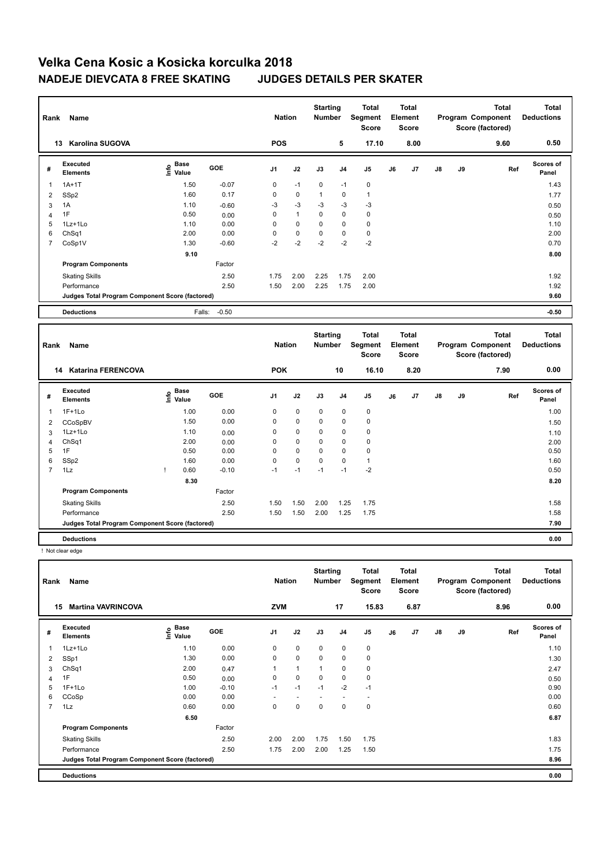| Rank | Name                                            |                                  |            | <b>Nation</b>  |              | <b>Starting</b><br><b>Number</b> |             | Total<br>Segment<br><b>Score</b> |    | <b>Total</b><br>Element<br><b>Score</b> |               |      | <b>Total</b><br>Program Component<br>Score (factored) | <b>Total</b><br><b>Deductions</b> |
|------|-------------------------------------------------|----------------------------------|------------|----------------|--------------|----------------------------------|-------------|----------------------------------|----|-----------------------------------------|---------------|------|-------------------------------------------------------|-----------------------------------|
| 13   | <b>Karolina SUGOVA</b>                          |                                  |            | <b>POS</b>     |              |                                  | 5           | 17.10                            |    | 8.00                                    |               |      | 9.60                                                  | 0.50                              |
| #    | Executed<br><b>Elements</b>                     | <b>Base</b><br>e Base<br>⊆ Value | <b>GOE</b> | J <sub>1</sub> | J2           | J3                               | J4          | J5                               | J6 | J7                                      | $\mathsf{J}8$ | J9   | Ref                                                   | <b>Scores of</b><br>Panel         |
| 1    | $1A+1T$                                         | 1.50                             | $-0.07$    | 0              | $-1$         | $\Omega$                         | $-1$        | $\mathbf 0$                      |    |                                         |               |      |                                                       | 1.43                              |
| 2    | SSp2                                            | 1.60                             | 0.17       | $\mathbf 0$    | $\mathbf 0$  | $\mathbf{1}$                     | 0           | 1                                |    |                                         |               |      |                                                       | 1.77                              |
| 3    | 1A                                              | 1.10                             | $-0.60$    | $-3$           | $-3$         | $-3$                             | $-3$        | $-3$                             |    |                                         |               |      |                                                       | 0.50                              |
| 4    | 1F                                              | 0.50                             | 0.00       | $\mathbf 0$    | $\mathbf{1}$ | $\Omega$                         | $\mathbf 0$ | $\mathbf 0$                      |    |                                         |               |      |                                                       | 0.50                              |
| 5    | 1Lz+1Lo                                         | 1.10                             | 0.00       | $\Omega$       | $\mathbf 0$  | $\Omega$                         | $\mathbf 0$ | $\mathbf 0$                      |    |                                         |               |      |                                                       | 1.10                              |
| 6    | ChSq1                                           | 2.00                             | 0.00       | 0              | $\mathbf 0$  | $\mathbf 0$                      | 0           | 0                                |    |                                         |               |      |                                                       | 2.00                              |
| 7    | CoSp1V                                          | 1.30                             | $-0.60$    | $-2$           | $-2$         | $-2$                             | $-2$        | $-2$                             |    |                                         |               |      |                                                       | 0.70                              |
|      |                                                 | 9.10                             |            |                |              |                                  |             |                                  |    |                                         |               |      |                                                       | 8.00                              |
|      | <b>Program Components</b>                       |                                  | Factor     |                |              |                                  |             |                                  |    |                                         |               |      |                                                       |                                   |
|      | <b>Skating Skills</b>                           |                                  | 2.50       | 1.75           | 2.00         | 2.25                             | 1.75        | 2.00                             |    |                                         |               |      |                                                       | 1.92                              |
|      | Performance                                     |                                  | 2.50       | 1.50           | 2.00         | 2.25                             | 1.75        | 2.00                             |    |                                         |               |      |                                                       | 1.92                              |
|      | Judges Total Program Component Score (factored) |                                  |            |                |              |                                  |             |                                  |    |                                         |               | 9.60 |                                                       |                                   |
|      | <b>Deductions</b>                               | Falls:                           | $-0.50$    |                |              |                                  |             |                                  |    |                                         |               |      |                                                       | $-0.50$                           |

| Rank                     | Name                                            |                   |      |         | <b>Nation</b>  |             | <b>Starting</b><br><b>Number</b> |                | <b>Total</b><br>Segment<br><b>Score</b> |    | <b>Total</b><br>Element<br><b>Score</b> |               |    | <b>Total</b><br>Program Component<br>Score (factored) | <b>Total</b><br><b>Deductions</b> |
|--------------------------|-------------------------------------------------|-------------------|------|---------|----------------|-------------|----------------------------------|----------------|-----------------------------------------|----|-----------------------------------------|---------------|----|-------------------------------------------------------|-----------------------------------|
|                          | <b>Katarina FERENCOVA</b><br>14                 |                   |      |         | <b>POK</b>     |             |                                  | 10             | 16.10                                   |    | 8.20                                    |               |    | 7.90                                                  | 0.00                              |
| #                        | Executed<br><b>Elements</b>                     | e Base<br>⊆ Value | Base | GOE     | J <sub>1</sub> | J2          | J3                               | J <sub>4</sub> | J5                                      | J6 | J7                                      | $\mathsf{J}8$ | J9 | Ref                                                   | <b>Scores of</b><br>Panel         |
| $\overline{\phantom{a}}$ | $1F+1Lo$                                        |                   | 1.00 | 0.00    | 0              | $\mathbf 0$ | 0                                | $\mathbf 0$    | 0                                       |    |                                         |               |    |                                                       | 1.00                              |
| 2                        | CCoSpBV                                         |                   | 1.50 | 0.00    | 0              | $\mathbf 0$ | 0                                | 0              | $\mathbf 0$                             |    |                                         |               |    |                                                       | 1.50                              |
| 3                        | 1Lz+1Lo                                         |                   | 1.10 | 0.00    | 0              | $\mathbf 0$ | $\mathbf 0$                      | $\mathbf 0$    | 0                                       |    |                                         |               |    |                                                       | 1.10                              |
| $\overline{4}$           | Ch <sub>Sq1</sub>                               |                   | 2.00 | 0.00    | 0              | 0           | 0                                | 0              | 0                                       |    |                                         |               |    |                                                       | 2.00                              |
| 5                        | 1F                                              |                   | 0.50 | 0.00    | $\Omega$       | $\mathbf 0$ | $\Omega$                         | $\mathbf 0$    | $\mathbf 0$                             |    |                                         |               |    |                                                       | 0.50                              |
| 6                        | SSp2                                            |                   | 1.60 | 0.00    | 0              | $\mathbf 0$ | $\Omega$                         | 0              | $\mathbf{1}$                            |    |                                         |               |    |                                                       | 1.60                              |
| 7                        | 1Lz                                             |                   | 0.60 | $-0.10$ | $-1$           | $-1$        | $-1$                             | $-1$           | $-2$                                    |    |                                         |               |    |                                                       | 0.50                              |
|                          |                                                 |                   | 8.30 |         |                |             |                                  |                |                                         |    |                                         |               |    |                                                       | 8.20                              |
|                          | <b>Program Components</b>                       |                   |      | Factor  |                |             |                                  |                |                                         |    |                                         |               |    |                                                       |                                   |
|                          | <b>Skating Skills</b>                           |                   |      | 2.50    | 1.50           | 1.50        | 2.00                             | 1.25           | 1.75                                    |    |                                         |               |    |                                                       | 1.58                              |
|                          | Performance                                     |                   |      | 2.50    | 1.50           | 1.50        | 2.00                             | 1.25           | 1.75                                    |    |                                         |               |    |                                                       | 1.58                              |
|                          | Judges Total Program Component Score (factored) |                   |      |         |                |             |                                  |                |                                         |    |                                         |               |    |                                                       | 7.90                              |
|                          | <b>Deductions</b>                               |                   |      |         |                |             |                                  |                |                                         |    |                                         |               |    |                                                       | 0.00                              |

! Not clear edge

| Rank           | Name                                            |                           |            | <b>Nation</b>  |                          | <b>Starting</b><br><b>Number</b> |                | Total<br>Segment<br><b>Score</b> |    | <b>Total</b><br>Element<br><b>Score</b> |               |    | <b>Total</b><br>Program Component<br>Score (factored) | <b>Total</b><br><b>Deductions</b> |
|----------------|-------------------------------------------------|---------------------------|------------|----------------|--------------------------|----------------------------------|----------------|----------------------------------|----|-----------------------------------------|---------------|----|-------------------------------------------------------|-----------------------------------|
| 15             | <b>Martina VAVRINCOVA</b>                       |                           |            | <b>ZVM</b>     |                          |                                  | 17             | 15.83                            |    | 6.87                                    |               |    | 8.96                                                  | 0.00                              |
| #              | Executed<br><b>Elements</b>                     | Base<br>e Base<br>⊆ Value | <b>GOE</b> | J <sub>1</sub> | J2                       | J3                               | J <sub>4</sub> | J5                               | J6 | J <sub>7</sub>                          | $\mathsf{J}8$ | J9 | Ref                                                   | <b>Scores of</b><br>Panel         |
|                | 1Lz+1Lo                                         | 1.10                      | 0.00       | $\mathbf 0$    | $\mathbf 0$              | $\mathbf 0$                      | $\mathbf 0$    | $\mathbf 0$                      |    |                                         |               |    |                                                       | 1.10                              |
| 2              | SSp1                                            | 1.30                      | 0.00       | 0              | $\mathbf 0$              | $\mathbf 0$                      | $\mathbf 0$    | $\pmb{0}$                        |    |                                         |               |    |                                                       | 1.30                              |
| 3              | ChSq1                                           | 2.00                      | 0.47       | $\mathbf{1}$   | $\mathbf{1}$             | 1                                | $\mathbf 0$    | 0                                |    |                                         |               |    |                                                       | 2.47                              |
| 4              | 1F                                              | 0.50                      | 0.00       | 0              | $\mathbf 0$              | $\mathbf 0$                      | $\mathbf 0$    | $\pmb{0}$                        |    |                                         |               |    |                                                       | 0.50                              |
| 5              | $1F+1Lo$                                        | 1.00                      | $-0.10$    | $-1$           | $-1$                     | $-1$                             | $-2$           | $-1$                             |    |                                         |               |    |                                                       | 0.90                              |
| 6              | CCoSp                                           | 0.00                      | 0.00       | ٠              | $\overline{\phantom{a}}$ |                                  |                | $\overline{\phantom{a}}$         |    |                                         |               |    |                                                       | 0.00                              |
| $\overline{7}$ | 1Lz                                             | 0.60                      | 0.00       | 0              | 0                        | 0                                | 0              | 0                                |    |                                         |               |    |                                                       | 0.60                              |
|                |                                                 | 6.50                      |            |                |                          |                                  |                |                                  |    |                                         |               |    |                                                       | 6.87                              |
|                | <b>Program Components</b>                       |                           | Factor     |                |                          |                                  |                |                                  |    |                                         |               |    |                                                       |                                   |
|                | <b>Skating Skills</b>                           |                           | 2.50       | 2.00           | 2.00                     | 1.75                             | 1.50           | 1.75                             |    |                                         |               |    |                                                       | 1.83                              |
|                | Performance                                     |                           | 2.50       | 1.75           | 2.00                     | 2.00                             | 1.25           | 1.50                             |    |                                         |               |    |                                                       | 1.75                              |
|                | Judges Total Program Component Score (factored) |                           |            |                |                          |                                  |                |                                  |    |                                         |               |    |                                                       | 8.96                              |
|                | <b>Deductions</b>                               |                           |            |                |                          |                                  |                |                                  |    |                                         |               |    |                                                       | 0.00                              |